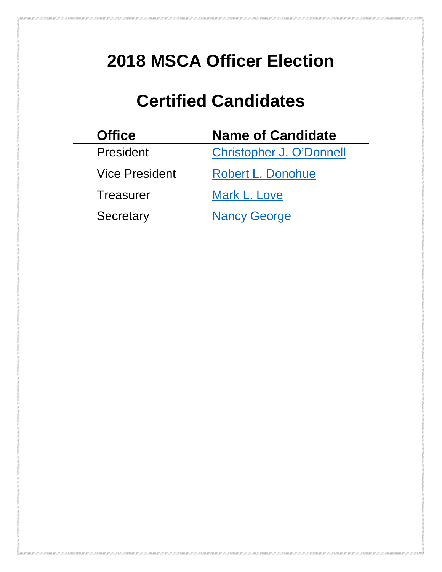# <span id="page-0-0"></span>**2018 MSCA Officer Election**

## **Certified Candidates**

| <b>Office</b>         | <b>Name of Candidate</b>        |
|-----------------------|---------------------------------|
| President             | <b>Christopher J. O'Donnell</b> |
| <b>Vice President</b> | Robert L. Donohue               |
| Treasurer             | Mark L. Love                    |
| Secretary             | <b>Nancy George</b>             |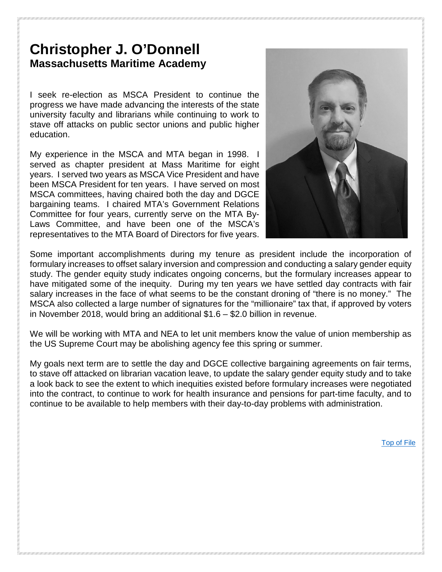#### <span id="page-1-0"></span>**Christopher J. O'Donnell Massachusetts Maritime Academy**

I seek re-election as MSCA President to continue the progress we have made advancing the interests of the state university faculty and librarians while continuing to work to stave off attacks on public sector unions and public higher education.

My experience in the MSCA and MTA began in 1998. I served as chapter president at Mass Maritime for eight years. I served two years as MSCA Vice President and have been MSCA President for ten years. I have served on most MSCA committees, having chaired both the day and DGCE bargaining teams. I chaired MTA's Government Relations Committee for four years, currently serve on the MTA By-Laws Committee, and have been one of the MSCA's representatives to the MTA Board of Directors for five years.



Some important accomplishments during my tenure as president include the incorporation of formulary increases to offset salary inversion and compression and conducting a salary gender equity study. The gender equity study indicates ongoing concerns, but the formulary increases appear to have mitigated some of the inequity. During my ten years we have settled day contracts with fair salary increases in the face of what seems to be the constant droning of "there is no money." The MSCA also collected a large number of signatures for the "millionaire" tax that, if approved by voters in November 2018, would bring an additional \$1.6 – \$2.0 billion in revenue.

We will be working with MTA and NEA to let unit members know the value of union membership as the US Supreme Court may be abolishing agency fee this spring or summer.

My goals next term are to settle the day and DGCE collective bargaining agreements on fair terms, to stave off attacked on librarian vacation leave, to update the salary gender equity study and to take a look back to see the extent to which inequities existed before formulary increases were negotiated into the contract, to continue to work for health insurance and pensions for part-time faculty, and to continue to be available to help members with their day-to-day problems with administration.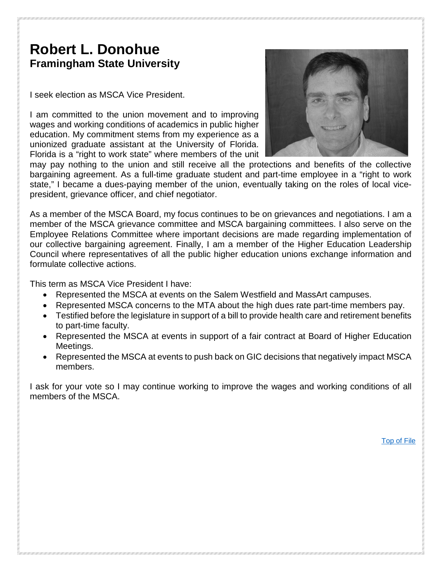### <span id="page-2-0"></span>**Robert L. Donohue Framingham State University**

I seek election as MSCA Vice President.

I am committed to the union movement and to improving wages and working conditions of academics in public higher education. My commitment stems from my experience as a unionized graduate assistant at the University of Florida. Florida is a "right to work state" where members of the unit



may pay nothing to the union and still receive all the protections and benefits of the collective bargaining agreement. As a full-time graduate student and part-time employee in a "right to work state," I became a dues-paying member of the union, eventually taking on the roles of local vicepresident, grievance officer, and chief negotiator.

As a member of the MSCA Board, my focus continues to be on grievances and negotiations. I am a member of the MSCA grievance committee and MSCA bargaining committees. I also serve on the Employee Relations Committee where important decisions are made regarding implementation of our collective bargaining agreement. Finally, I am a member of the Higher Education Leadership Council where representatives of all the public higher education unions exchange information and formulate collective actions.

This term as MSCA Vice President I have:

- Represented the MSCA at events on the Salem Westfield and MassArt campuses.
- Represented MSCA concerns to the MTA about the high dues rate part-time members pay.
- Testified before the legislature in support of a bill to provide health care and retirement benefits to part-time faculty.
- Represented the MSCA at events in support of a fair contract at Board of Higher Education Meetings.
- Represented the MSCA at events to push back on GIC decisions that negatively impact MSCA members.

I ask for your vote so I may continue working to improve the wages and working conditions of all members of the MSCA.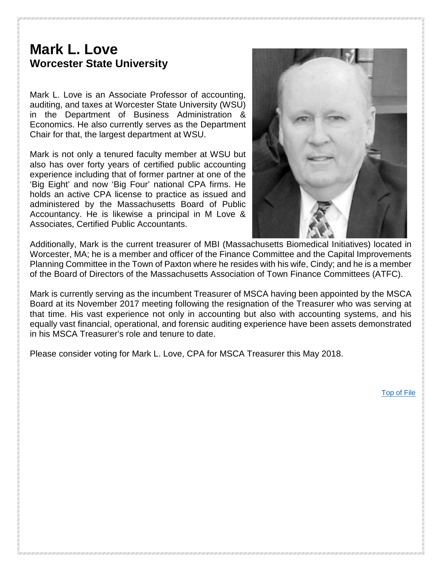#### <span id="page-3-0"></span>**Mark L. Love Worcester State University**

Mark L. Love is an Associate Professor of accounting, auditing, and taxes at Worcester State University (WSU) in the Department of Business Administration & Economics. He also currently serves as the Department Chair for that, the largest department at WSU.

Mark is not only a tenured faculty member at WSU but also has over forty years of certified public accounting experience including that of former partner at one of the 'Big Eight' and now 'Big Four' national CPA firms. He holds an active CPA license to practice as issued and administered by the Massachusetts Board of Public Accountancy. He is likewise a principal in M Love & Associates, Certified Public Accountants.



Additionally, Mark is the current treasurer of MBI (Massachusetts Biomedical Initiatives) located in Worcester, MA; he is a member and officer of the Finance Committee and the Capital Improvements Planning Committee in the Town of Paxton where he resides with his wife, Cindy; and he is a member of the Board of Directors of the Massachusetts Association of Town Finance Committees (ATFC).

Mark is currently serving as the incumbent Treasurer of MSCA having been appointed by the MSCA Board at its November 2017 meeting following the resignation of the Treasurer who was serving at that time. His vast experience not only in accounting but also with accounting systems, and his equally vast financial, operational, and forensic auditing experience have been assets demonstrated in his MSCA Treasurer's role and tenure to date.

Please consider voting for Mark L. Love, CPA for MSCA Treasurer this May 2018.